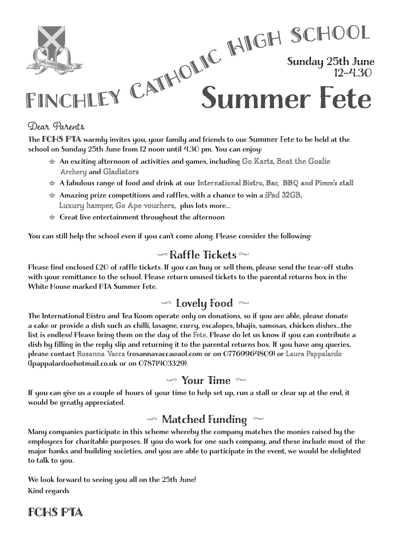

Sunday 25th June 12–4.30

# FINCHLEY CATHOLIC HIGH SCHOOL Summer Fete

#### Dear Parents

The FCHS PTA warmly invites you, your family and friends to our Summer Fete to be held at the school on Sunday 25th June from 12 noon until 4.30 pm. You can enjoy:

- $T_{\text{S}}$  is the FCHS produced to our family invited to the school of  $T_{\text{S}}$  and  $T_{\text{S}}$  at the school on the school on  $T_{\text{S}}$  $\text{A}_1$  An exciting afternoon of activities and games, including Go Karts, Beat the Goalie Archery and Gladiators
	- $A$  A fabulous range of food and drink at our International Bistro, Bar, BBQ and Pimm's stall
	- $\textcircledast$  Amazing prize competitions and raffles, with a chance to win a iPad 32GB, Luxury hamper, Go Ape vouchers, plus lots more...
	- $\textcolor{red}{\bullet}$  Great live entertainment throughout the afternoon

You can still help the school even if you can't come along. Please consider the following:<br>.

## $\blacktriangleright$  Raffle Tickets  $\blacktriangleright$

with your remittance to the school. Please return unused tickets to the parental returns box in the White House marked PTA Summer Fete. Please find enclosed £20 of raffle tickets. If you can buy or sell them, please send the tear-off stubs

# $\blacktriangledown$  Lovely Food  $\blacktriangledown$

a cake or provide a dish such as chilli, lasagne, curry, escalopes, bhajis, samosas, chicken dishes...the list is endless! Please bring them on the day of the Fete. Please do let us know if you can contribute a dish by filling in the reply slip and returning it to the parental returns box. If you have any queries, please contact Rosanna Vacca (rosannavacca@aol.com or on 07769964809) or Laura Pappalardo (lpappalardo@hotmail.co.uk or on 07871403329). The International Bistro and Tea Room operate only on donations, so if you are able, please donate

## $\blacktriangleright$  Your Time

If you can give us a couple of hours of your time to help set up, run a stall or clear up at the end, it would be greatly appreciated.

#### $\sim$  Matched Funding  $\sim$

Many companies participate in this scheme whereby the company matches the monies raised by the employees for charitable purposes. If you do work for one such company, and these include most of the<br>Charles in the charitable purposes. If you do work for one such company, and these include most of the ch to talk to you.  $\mathcal{C}$  for charitable purposes. If you do work for one such company, and the se include most of these include most of these include most of these include most of these include most of these include most of the set of th major banks and building societies, and you are able to participate in the event, we would be delighted

We look forward to seeing you all on the 25th June! Kind regards  $W(x)$  is seen the 26th June 26th June 26th June 26th June 26th June 26th June 26th June 26th June 26th June 26th June 26th June 27th June 27th June 27th June 27th June 27th June 27th June 27th June 27th June 27th June 27t

#### FCHS PTA